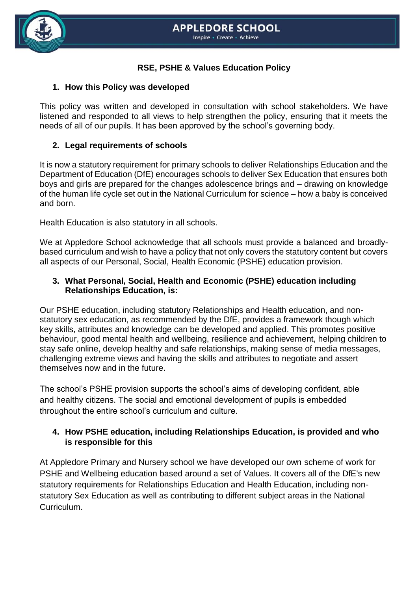

## **RSE, PSHE & Values Education Policy**

### **1. How this Policy was developed**

This policy was written and developed in consultation with school stakeholders. We have listened and responded to all views to help strengthen the policy, ensuring that it meets the needs of all of our pupils. It has been approved by the school's governing body.

### **2. Legal requirements of schools**

It is now a statutory requirement for primary schools to deliver Relationships Education and the Department of Education (DfE) encourages schools to deliver Sex Education that ensures both boys and girls are prepared for the changes adolescence brings and – drawing on knowledge of the human life cycle set out in the National Curriculum for science – how a baby is conceived and born.

Health Education is also statutory in all schools.

We at Appledore School acknowledge that all schools must provide a balanced and broadlybased curriculum and wish to have a policy that not only covers the statutory content but covers all aspects of our Personal, Social, Health Economic (PSHE) education provision.

### **3. What Personal, Social, Health and Economic (PSHE) education including Relationships Education, is:**

Our PSHE education, including statutory Relationships and Health education, and nonstatutory sex education, as recommended by the DfE, provides a framework though which key skills, attributes and knowledge can be developed and applied. This promotes positive behaviour, good mental health and wellbeing, resilience and achievement, helping children to stay safe online, develop healthy and safe relationships, making sense of media messages, challenging extreme views and having the skills and attributes to negotiate and assert themselves now and in the future.

The school's PSHE provision supports the school's aims of developing confident, able and healthy citizens. The social and emotional development of pupils is embedded throughout the entire school's curriculum and culture.

### **4. How PSHE education, including Relationships Education, is provided and who is responsible for this**

At Appledore Primary and Nursery school we have developed our own scheme of work for PSHE and Wellbeing education based around a set of Values. It covers all of the DfE's new statutory requirements for Relationships Education and Health Education, including nonstatutory Sex Education as well as contributing to different subject areas in the [National](https://www.coramlifeeducation.org.uk/scarf/national-curriculum/)  [Curriculum.](https://www.coramlifeeducation.org.uk/scarf/national-curriculum/)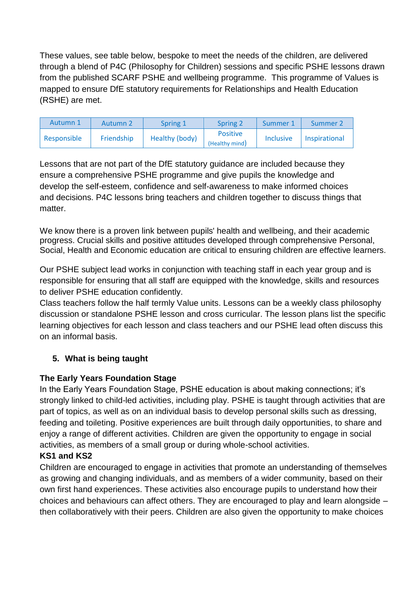These values, see table below, bespoke to meet the needs of the children, are delivered through a blend of P4C (Philosophy for Children) sessions and specific PSHE lessons drawn from the published SCARF PSHE and wellbeing programme. This programme of Values is mapped to ensure DfE statutory requirements for Relationships and Health Education (RSHE) are met.

| Autumn 1    | Autumn 2   | Spring 1       | Spring 2                          | Summer 1         | Summer 2      |
|-------------|------------|----------------|-----------------------------------|------------------|---------------|
| Responsible | Friendship | Healthy (body) | <b>Positive</b><br>(Healthy mind) | <b>Inclusive</b> | Inspirational |

Lessons that are not part of the DfE statutory guidance are included because they ensure a comprehensive PSHE programme and give pupils the knowledge and develop the self-esteem, confidence and self-awareness to make informed choices and decisions. P4C lessons bring teachers and children together to discuss things that matter.

We know there is a proven link between pupils' health and wellbeing, and their academic progress. Crucial skills and positive attitudes developed through comprehensive Personal, Social, Health and Economic education are critical to ensuring children are effective learners.

Our PSHE subject lead works in conjunction with teaching staff in each year group and is responsible for ensuring that all staff are equipped with the knowledge, skills and resources to deliver PSHE education confidently.

Class teachers follow the half termly Value units. Lessons can be a weekly class philosophy discussion or standalone PSHE lesson and cross curricular. The lesson plans list the specific learning objectives for each lesson and class teachers and our PSHE lead often discuss this on an informal basis.

# **5. What is being taught**

# **The Early Years Foundation Stage**

In the Early Years Foundation Stage, PSHE education is about making connections; it's strongly linked to child-led activities, including play. PSHE is taught through activities that are part of topics, as well as on an individual basis to develop personal skills such as dressing, feeding and toileting. Positive experiences are built through daily opportunities, to share and enjoy a range of different activities. Children are given the opportunity to engage in social activities, as members of a small group or during whole-school activities.

# **KS1 and KS2**

Children are encouraged to engage in activities that promote an understanding of themselves as growing and changing individuals, and as members of a wider community, based on their own first hand experiences. These activities also encourage pupils to understand how their choices and behaviours can affect others. They are encouraged to play and learn alongside – then collaboratively with their peers. Children are also given the opportunity to make choices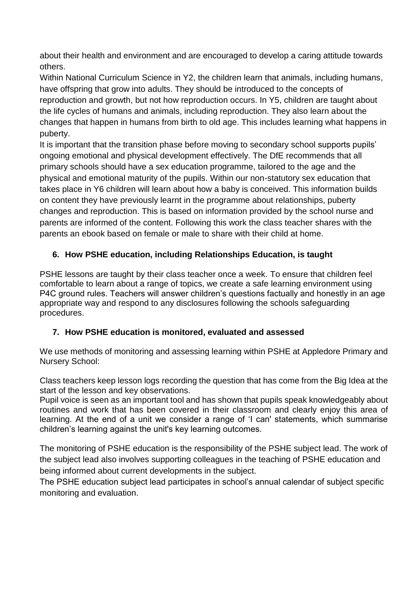about their health and environment and are encouraged to develop a caring attitude towards others.

Within National Curriculum Science in Y2, the children learn that animals, including humans, have offspring that grow into adults. They should be introduced to the concepts of reproduction and growth, but not how reproduction occurs. In Y5, children are taught about the life cycles of humans and animals, including reproduction. They also learn about the changes that happen in humans from birth to old age. This includes learning what happens in puberty.

It is important that the transition phase before moving to secondary school supports pupils' ongoing emotional and physical development effectively. The DfE recommends that all primary schools should have a sex education programme, tailored to the age and the physical and emotional maturity of the pupils. Within our non-statutory sex education that takes place in Y6 children will learn about how a baby is conceived. This information builds on content they have previously learnt in the programme about relationships, puberty changes and reproduction. This is based on information provided by the school nurse and parents are informed of the content. Following this work the class teacher shares with the parents an ebook based on female or male to share with their child at home.

# **6. How PSHE education, including Relationships Education, is taught**

PSHE lessons are taught by their class teacher once a week. To ensure that children feel comfortable to learn about a range of topics, we create a safe learning environment using P4C ground rules. Teachers will answer children's questions factually and honestly in an age appropriate way and respond to any disclosures following the schools safeguarding procedures.

# **7. How PSHE education is monitored, evaluated and assessed**

We use methods of monitoring and assessing learning within PSHE at Appledore Primary and Nursery School:

Class teachers keep lesson logs recording the question that has come from the Big Idea at the start of the lesson and key observations.

Pupil voice is seen as an important tool and has shown that pupils speak knowledgeably about routines and work that has been covered in their classroom and clearly enjoy this area of learning. At the end of a unit we consider a range of 'I can' statements, which summarise children's learning against the unit's key learning outcomes.

The monitoring of PSHE education is the responsibility of the PSHE subject lead. The work of the subject lead also involves supporting colleagues in the teaching of PSHE education and being informed about current developments in the subject.

The PSHE education subject lead participates in school's annual calendar of subject specific monitoring and evaluation.